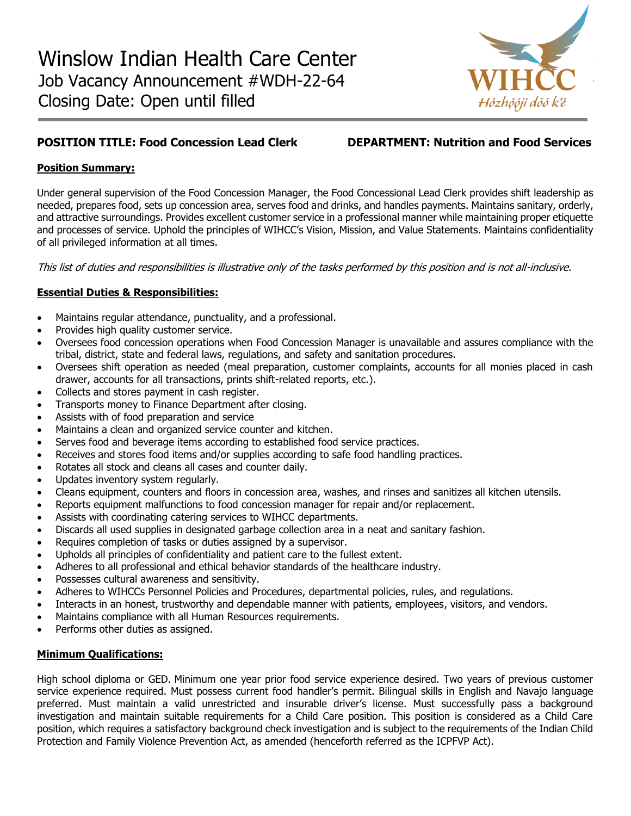

# **POSITION TITLE: Food Concession Lead Clerk DEPARTMENT: Nutrition and Food Services**

## **Position Summary:**

Under general supervision of the Food Concession Manager, the Food Concessional Lead Clerk provides shift leadership as needed, prepares food, sets up concession area, serves food and drinks, and handles payments. Maintains sanitary, orderly, and attractive surroundings. Provides excellent customer service in a professional manner while maintaining proper etiquette and processes of service. Uphold the principles of WIHCC's Vision, Mission, and Value Statements. Maintains confidentiality of all privileged information at all times.

This list of duties and responsibilities is illustrative only of the tasks performed by this position and is not all-inclusive.

### **Essential Duties & Responsibilities:**

- Maintains regular attendance, punctuality, and a professional.
- Provides high quality customer service.
- Oversees food concession operations when Food Concession Manager is unavailable and assures compliance with the tribal, district, state and federal laws, regulations, and safety and sanitation procedures.
- Oversees shift operation as needed (meal preparation, customer complaints, accounts for all monies placed in cash drawer, accounts for all transactions, prints shift-related reports, etc.).
- Collects and stores payment in cash register.
- Transports money to Finance Department after closing.
- Assists with of food preparation and service
- Maintains a clean and organized service counter and kitchen.
- Serves food and beverage items according to established food service practices.
- Receives and stores food items and/or supplies according to safe food handling practices.
- Rotates all stock and cleans all cases and counter daily.
- Updates inventory system regularly.
- Cleans equipment, counters and floors in concession area, washes, and rinses and sanitizes all kitchen utensils.
- Reports equipment malfunctions to food concession manager for repair and/or replacement.
- Assists with coordinating catering services to WIHCC departments.
- Discards all used supplies in designated garbage collection area in a neat and sanitary fashion.
- Requires completion of tasks or duties assigned by a supervisor.
- Upholds all principles of confidentiality and patient care to the fullest extent.
- Adheres to all professional and ethical behavior standards of the healthcare industry.
- Possesses cultural awareness and sensitivity.
- Adheres to WIHCCs Personnel Policies and Procedures, departmental policies, rules, and regulations.
- Interacts in an honest, trustworthy and dependable manner with patients, employees, visitors, and vendors.
- Maintains compliance with all Human Resources requirements.
- Performs other duties as assigned.

### **Minimum Qualifications:**

High school diploma or GED. Minimum one year prior food service experience desired. Two years of previous customer service experience required. Must possess current food handler's permit. Bilingual skills in English and Navajo language preferred. Must maintain a valid unrestricted and insurable driver's license. Must successfully pass a background investigation and maintain suitable requirements for a Child Care position. This position is considered as a Child Care position, which requires a satisfactory background check investigation and is subject to the requirements of the Indian Child Protection and Family Violence Prevention Act, as amended (henceforth referred as the ICPFVP Act).